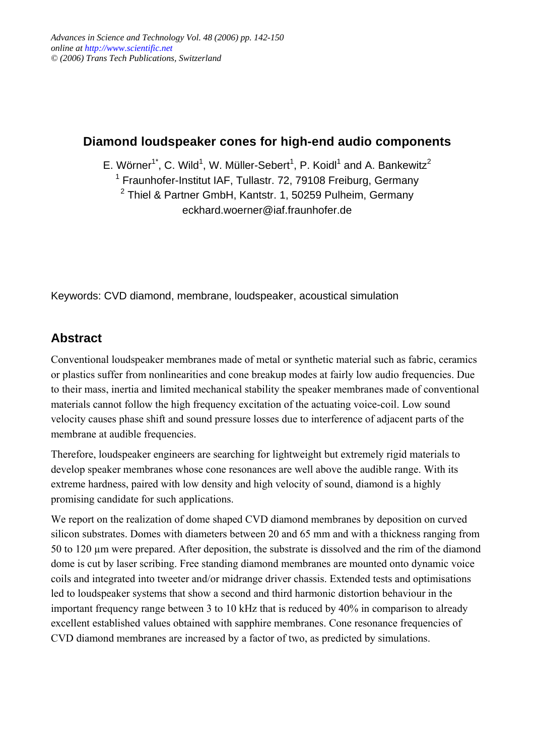### **Diamond loudspeaker cones for high-end audio components**

E. Wörner<sup>1\*</sup>, C. Wild<sup>1</sup>, W. Müller-Sebert<sup>1</sup>, P. Koidl<sup>1</sup> and A. Bankewitz<sup>2</sup>

<sup>1</sup> Fraunhofer-Institut IAF, Tullastr. 72, 79108 Freiburg, Germany

<sup>2</sup> Thiel & Partner GmbH, Kantstr. 1, 50259 Pulheim, Germany eckhard.woerner@iaf.fraunhofer.de

Keywords: CVD diamond, membrane, loudspeaker, acoustical simulation

# **Abstract**

Conventional loudspeaker membranes made of metal or synthetic material such as fabric, ceramics or plastics suffer from nonlinearities and cone breakup modes at fairly low audio frequencies. Due to their mass, inertia and limited mechanical stability the speaker membranes made of conventional materials cannot follow the high frequency excitation of the actuating voice-coil. Low sound velocity causes phase shift and sound pressure losses due to interference of adjacent parts of the membrane at audible frequencies.

Therefore, loudspeaker engineers are searching for lightweight but extremely rigid materials to develop speaker membranes whose cone resonances are well above the audible range. With its extreme hardness, paired with low density and high velocity of sound, diamond is a highly promising candidate for such applications.

We report on the realization of dome shaped CVD diamond membranes by deposition on curved silicon substrates. Domes with diameters between 20 and 65 mm and with a thickness ranging from 50 to 120 µm were prepared. After deposition, the substrate is dissolved and the rim of the diamond dome is cut by laser scribing. Free standing diamond membranes are mounted onto dynamic voice coils and integrated into tweeter and/or midrange driver chassis. Extended tests and optimisations led to loudspeaker systems that show a second and third harmonic distortion behaviour in the important frequency range between 3 to 10 kHz that is reduced by 40% in comparison to already excellent established values obtained with sapphire membranes. Cone resonance frequencies of CVD diamond membranes are increased by a factor of two, as predicted by simulations.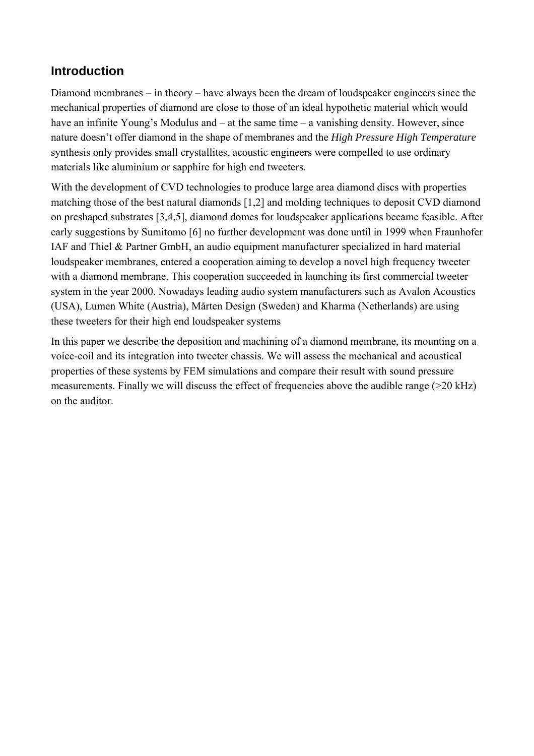### **Introduction**

Diamond membranes – in theory – have always been the dream of loudspeaker engineers since the mechanical properties of diamond are close to those of an ideal hypothetic material which would have an infinite Young's Modulus and  $-$  at the same time  $-$  a vanishing density. However, since nature doesn't offer diamond in the shape of membranes and the *High Pressure High Temperature* synthesis only provides small crystallites, acoustic engineers were compelled to use ordinary materials like aluminium or sapphire for high end tweeters.

With the development of CVD technologies to produce large area diamond discs with properties matching those of the best natural diamonds [1,2] and molding techniques to deposit CVD diamond on preshaped substrates [3,4,5], diamond domes for loudspeaker applications became feasible. After early suggestions by Sumitomo [6] no further development was done until in 1999 when Fraunhofer IAF and Thiel & Partner GmbH, an audio equipment manufacturer specialized in hard material loudspeaker membranes, entered a cooperation aiming to develop a novel high frequency tweeter with a diamond membrane. This cooperation succeeded in launching its first commercial tweeter system in the year 2000. Nowadays leading audio system manufacturers such as Avalon Acoustics (USA), Lumen White (Austria), Mårten Design (Sweden) and Kharma (Netherlands) are using these tweeters for their high end loudspeaker systems

In this paper we describe the deposition and machining of a diamond membrane, its mounting on a voice-coil and its integration into tweeter chassis. We will assess the mechanical and acoustical properties of these systems by FEM simulations and compare their result with sound pressure measurements. Finally we will discuss the effect of frequencies above the audible range (>20 kHz) on the auditor.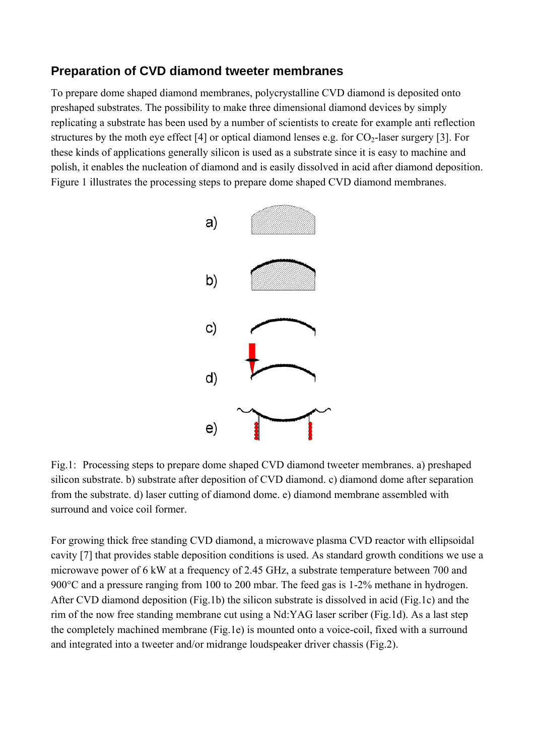### **Preparation of CVD diamond tweeter membranes**

To prepare dome shaped diamond membranes, polycrystalline CVD diamond is deposited onto preshaped substrates. The possibility to make three dimensional diamond devices by simply replicating a substrate has been used by a number of scientists to create for example anti reflection structures by the moth eye effect [4] or optical diamond lenses e.g. for  $CO<sub>2</sub>$ -laser surgery [3]. For these kinds of applications generally silicon is used as a substrate since it is easy to machine and polish, it enables the nucleation of diamond and is easily dissolved in acid after diamond deposition. Figure 1 illustrates the processing steps to prepare dome shaped CVD diamond membranes.



Fig.1: Processing steps to prepare dome shaped CVD diamond tweeter membranes. a) preshaped silicon substrate. b) substrate after deposition of CVD diamond. c) diamond dome after separation from the substrate. d) laser cutting of diamond dome. e) diamond membrane assembled with surround and voice coil former.

For growing thick free standing CVD diamond, a microwave plasma CVD reactor with ellipsoidal cavity [7] that provides stable deposition conditions is used. As standard growth conditions we use a microwave power of 6 kW at a frequency of 2.45 GHz, a substrate temperature between 700 and 900°C and a pressure ranging from 100 to 200 mbar. The feed gas is 1-2% methane in hydrogen. After CVD diamond deposition (Fig.1b) the silicon substrate is dissolved in acid (Fig.1c) and the rim of the now free standing membrane cut using a Nd:YAG laser scriber (Fig.1d). As a last step the completely machined membrane (Fig.1e) is mounted onto a voice-coil, fixed with a surround and integrated into a tweeter and/or midrange loudspeaker driver chassis (Fig.2).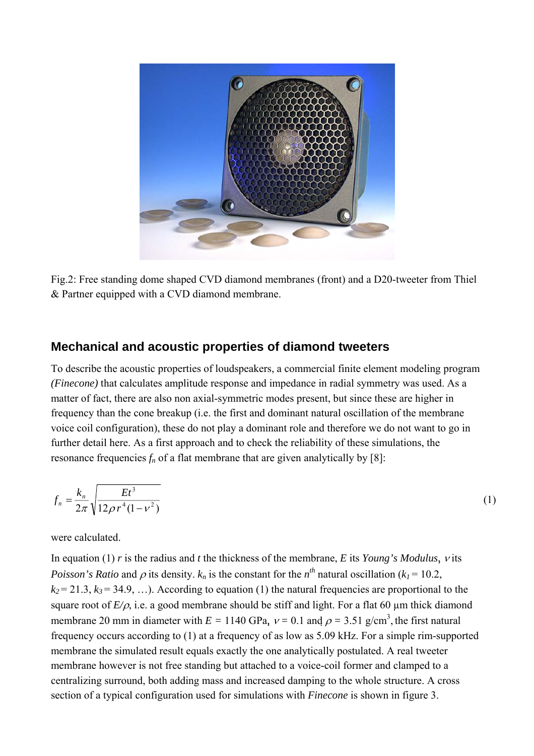

Fig.2: Free standing dome shaped CVD diamond membranes (front) and a D20-tweeter from Thiel & Partner equipped with a CVD diamond membrane.

#### **Mechanical and acoustic properties of diamond tweeters**

To describe the acoustic properties of loudspeakers, a commercial finite element modeling program *(Finecone)* that calculates amplitude response and impedance in radial symmetry was used. As a matter of fact, there are also non axial-symmetric modes present, but since these are higher in frequency than the cone breakup (i.e. the first and dominant natural oscillation of the membrane voice coil configuration), these do not play a dominant role and therefore we do not want to go in further detail here. As a first approach and to check the reliability of these simulations, the resonance frequencies  $f_n$  of a flat membrane that are given analytically by [8]:

$$
f_n = \frac{k_n}{2\pi} \sqrt{\frac{Et^3}{12\rho r^4 (1 - v^2)}}
$$
 (1)

were calculated.

In equation (1) *r* is the radius and *t* the thickness of the membrane, *E* its *Young's Modulus*, ν its *Poisson's Ratio* and  $\rho$  its density.  $k_n$  is the constant for the  $n^{th}$  natural oscillation ( $k_l$  = 10.2,  $k_2$  = 21.3,  $k_3$  = 34.9, ...). According to equation (1) the natural frequencies are proportional to the square root of  $E/\rho$ , i.e. a good membrane should be stiff and light. For a flat 60  $\mu$ m thick diamond membrane 20 mm in diameter with  $E = 1140$  GPa,  $v = 0.1$  and  $\rho = 3.51$  g/cm<sup>3</sup>, the first natural frequency occurs according to (1) at a frequency of as low as 5.09 kHz. For a simple rim-supported membrane the simulated result equals exactly the one analytically postulated. A real tweeter membrane however is not free standing but attached to a voice-coil former and clamped to a centralizing surround, both adding mass and increased damping to the whole structure. A cross section of a typical configuration used for simulations with *Finecone* is shown in figure 3.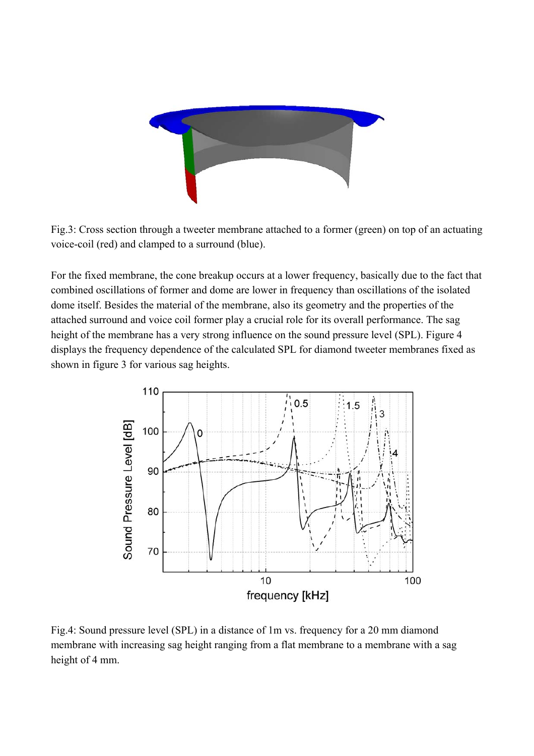

Fig.3: Cross section through a tweeter membrane attached to a former (green) on top of an actuating voice-coil (red) and clamped to a surround (blue).

For the fixed membrane, the cone breakup occurs at a lower frequency, basically due to the fact that combined oscillations of former and dome are lower in frequency than oscillations of the isolated dome itself. Besides the material of the membrane, also its geometry and the properties of the attached surround and voice coil former play a crucial role for its overall performance. The sag height of the membrane has a very strong influence on the sound pressure level (SPL). Figure 4 displays the frequency dependence of the calculated SPL for diamond tweeter membranes fixed as shown in figure 3 for various sag heights.



Fig.4: Sound pressure level (SPL) in a distance of 1m vs. frequency for a 20 mm diamond membrane with increasing sag height ranging from a flat membrane to a membrane with a sag height of 4 mm.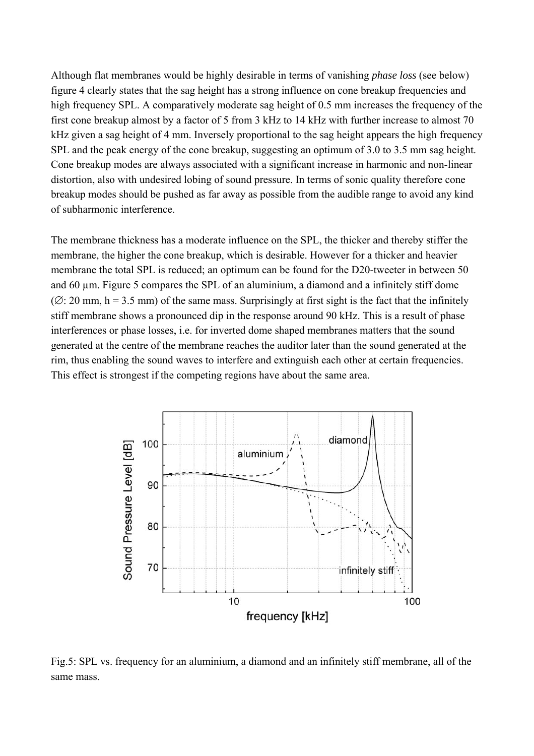Although flat membranes would be highly desirable in terms of vanishing *phase loss* (see below) figure 4 clearly states that the sag height has a strong influence on cone breakup frequencies and high frequency SPL. A comparatively moderate sag height of 0.5 mm increases the frequency of the first cone breakup almost by a factor of 5 from 3 kHz to 14 kHz with further increase to almost 70 kHz given a sag height of 4 mm. Inversely proportional to the sag height appears the high frequency SPL and the peak energy of the cone breakup, suggesting an optimum of 3.0 to 3.5 mm sag height. Cone breakup modes are always associated with a significant increase in harmonic and non-linear distortion, also with undesired lobing of sound pressure. In terms of sonic quality therefore cone breakup modes should be pushed as far away as possible from the audible range to avoid any kind of subharmonic interference.

The membrane thickness has a moderate influence on the SPL, the thicker and thereby stiffer the membrane, the higher the cone breakup, which is desirable. However for a thicker and heavier membrane the total SPL is reduced; an optimum can be found for the D20-tweeter in between 50 and 60 µm. Figure 5 compares the SPL of an aluminium, a diamond and a infinitely stiff dome  $(\emptyset: 20 \text{ mm}, h = 3.5 \text{ mm})$  of the same mass. Surprisingly at first sight is the fact that the infinitely stiff membrane shows a pronounced dip in the response around 90 kHz. This is a result of phase interferences or phase losses, i.e. for inverted dome shaped membranes matters that the sound generated at the centre of the membrane reaches the auditor later than the sound generated at the rim, thus enabling the sound waves to interfere and extinguish each other at certain frequencies. This effect is strongest if the competing regions have about the same area.



Fig.5: SPL vs. frequency for an aluminium, a diamond and an infinitely stiff membrane, all of the same mass.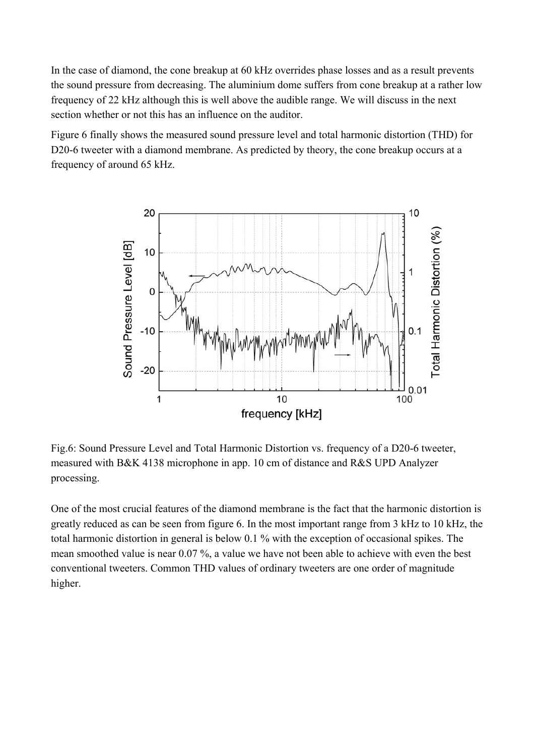In the case of diamond, the cone breakup at 60 kHz overrides phase losses and as a result prevents the sound pressure from decreasing. The aluminium dome suffers from cone breakup at a rather low frequency of 22 kHz although this is well above the audible range. We will discuss in the next section whether or not this has an influence on the auditor.

Figure 6 finally shows the measured sound pressure level and total harmonic distortion (THD) for D20-6 tweeter with a diamond membrane. As predicted by theory, the cone breakup occurs at a frequency of around 65 kHz.



Fig.6: Sound Pressure Level and Total Harmonic Distortion vs. frequency of a D20-6 tweeter, measured with B&K 4138 microphone in app. 10 cm of distance and R&S UPD Analyzer processing.

One of the most crucial features of the diamond membrane is the fact that the harmonic distortion is greatly reduced as can be seen from figure 6. In the most important range from 3 kHz to 10 kHz, the total harmonic distortion in general is below 0.1 % with the exception of occasional spikes. The mean smoothed value is near 0.07 %, a value we have not been able to achieve with even the best conventional tweeters. Common THD values of ordinary tweeters are one order of magnitude higher.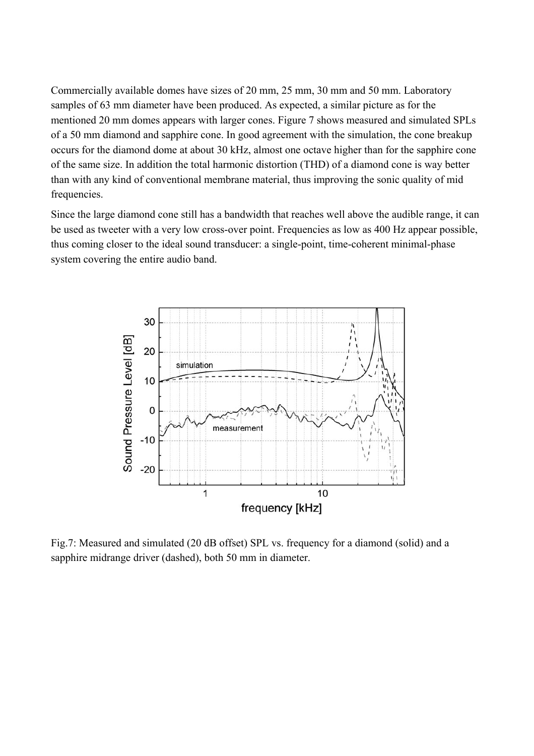Commercially available domes have sizes of 20 mm, 25 mm, 30 mm and 50 mm. Laboratory samples of 63 mm diameter have been produced. As expected, a similar picture as for the mentioned 20 mm domes appears with larger cones. Figure 7 shows measured and simulated SPLs of a 50 mm diamond and sapphire cone. In good agreement with the simulation, the cone breakup occurs for the diamond dome at about 30 kHz, almost one octave higher than for the sapphire cone of the same size. In addition the total harmonic distortion (THD) of a diamond cone is way better than with any kind of conventional membrane material, thus improving the sonic quality of mid frequencies.

Since the large diamond cone still has a bandwidth that reaches well above the audible range, it can be used as tweeter with a very low cross-over point. Frequencies as low as 400 Hz appear possible, thus coming closer to the ideal sound transducer: a single-point, time-coherent minimal-phase system covering the entire audio band.



Fig.7: Measured and simulated (20 dB offset) SPL vs. frequency for a diamond (solid) and a sapphire midrange driver (dashed), both 50 mm in diameter.